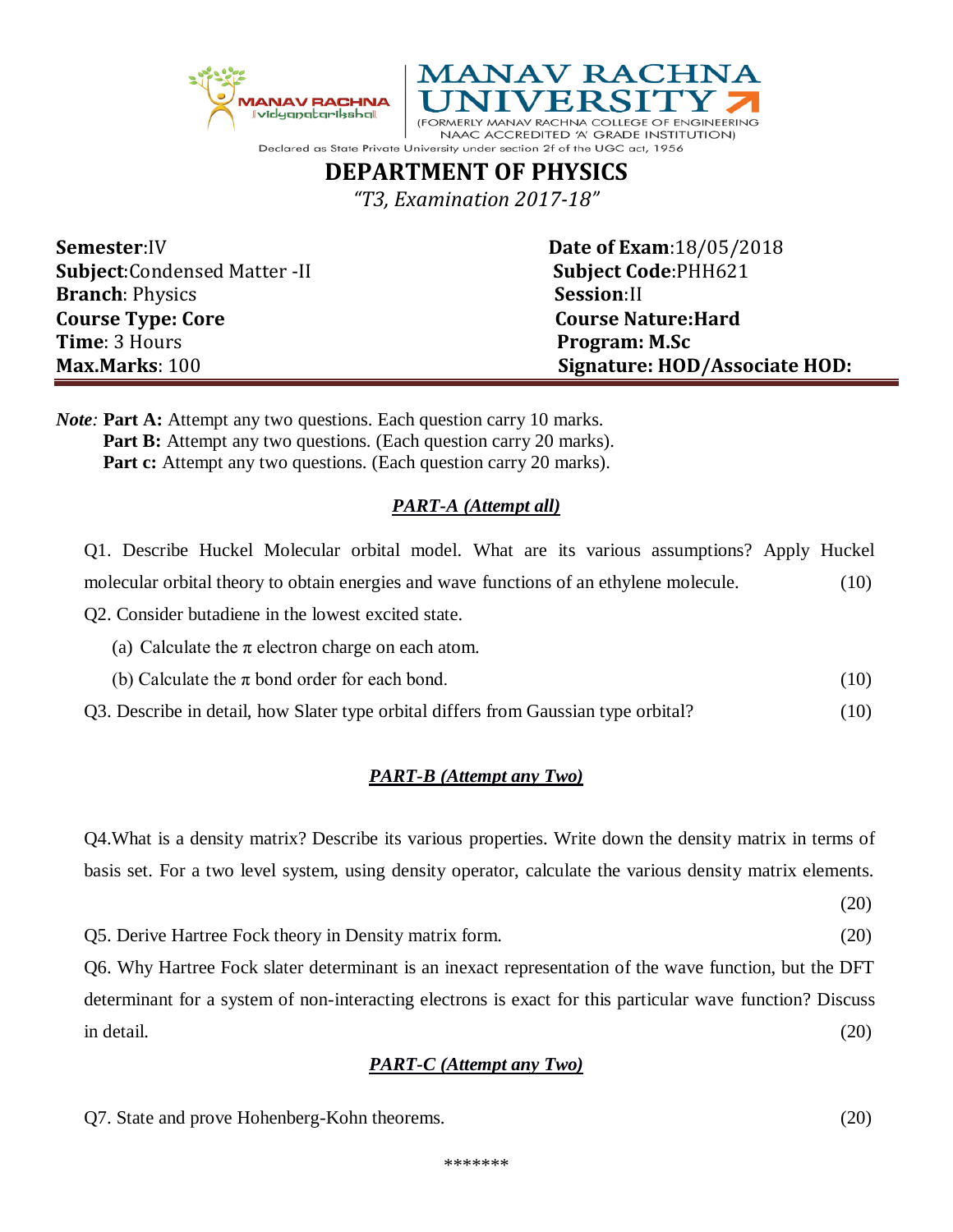



NAAC ACCREDITED 'A' GRADE INSTITUTION) Declared as State Private University under section 2f of the UGC act, 1956

## **DEPARTMENT OF PHYSICS**

*"T3, Examination 2017-18"*

| <b>Semester:IV</b>                   | <b>Date of Exam: 18/05/2018</b> |
|--------------------------------------|---------------------------------|
| <b>Subject:</b> Condensed Matter -II | <b>Subject Code: PHH621</b>     |
| <b>Branch: Physics</b>               | Session:II                      |
| <b>Course Type: Core</b>             | <b>Course Nature: Hard</b>      |
| Time: 3 Hours                        | Program: M.Sc                   |
| Max Marks: 100                       | Signature: HOD/Associate HOD:   |

*Note*: **Part A:** Attempt any two questions. Each question carry 10 marks. **Part B:** Attempt any two questions. (Each question carry 20 marks). **Part c:** Attempt any two questions. (Each question carry 20 marks).

## *PART-A (Attempt all)*

Q1. Describe Huckel Molecular orbital model. What are its various assumptions? Apply Huckel molecular orbital theory to obtain energies and wave functions of an ethylene molecule. (10)

Q2. Consider butadiene in the lowest excited state.

- (a) Calculate the  $\pi$  electron charge on each atom.
- (b) Calculate the  $\pi$  bond order for each bond. (10)

Q3. Describe in detail, how Slater type orbital differs from Gaussian type orbital? (10)

## *PART-B (Attempt any Two)*

Q4.What is a density matrix? Describe its various properties. Write down the density matrix in terms of basis set. For a two level system, using density operator, calculate the various density matrix elements.

(20)

Q5. Derive Hartree Fock theory in Density matrix form. (20)

Q6. Why Hartree Fock slater determinant is an inexact representation of the wave function, but the DFT determinant for a system of non-interacting electrons is exact for this particular wave function? Discuss in detail. (20)

## *PART-C (Attempt any Two)*

Q7. State and prove Hohenberg-Kohn theorems. (20)